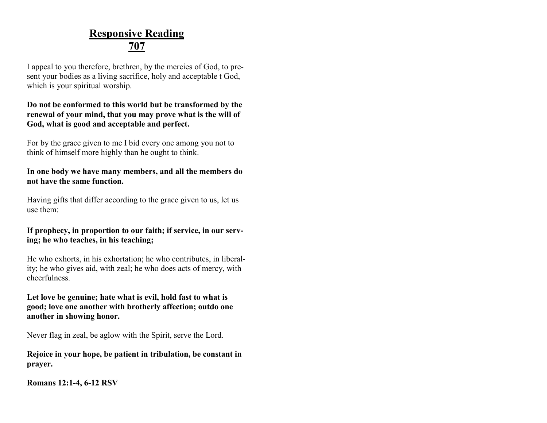### **Responsive Reading 707**

I appeal to you therefore, brethren, by the mercies of God, to present your bodies as a living sacrifice, holy and acceptable t God, which is your spiritual worship.

#### **Do not be conformed to this world but be transformed by the renewal of your mind, that you may prove what is the will of God, what is good and acceptable and perfect.**

For by the grace given to me I bid every one among you not to think of himself more highly than he ought to think.

**In one body we have many members, and all the members do not have the same function.**

Having gifts that differ according to the grace given to us, let us use them:

### **If prophecy, in proportion to our faith; if service, in our serving; he who teaches, in his teaching;**

He who exhorts, in his exhortation; he who contributes, in liberality; he who gives aid, with zeal; he who does acts of mercy, with cheerfulness.

**Let love be genuine; hate what is evil, hold fast to what is good; love one another with brotherly affection; outdo one another in showing honor.**

Never flag in zeal, be aglow with the Spirit, serve the Lord.

**Rejoice in your hope, be patient in tribulation, be constant in prayer.**

**Romans 12:1-4, 6-12 RSV**